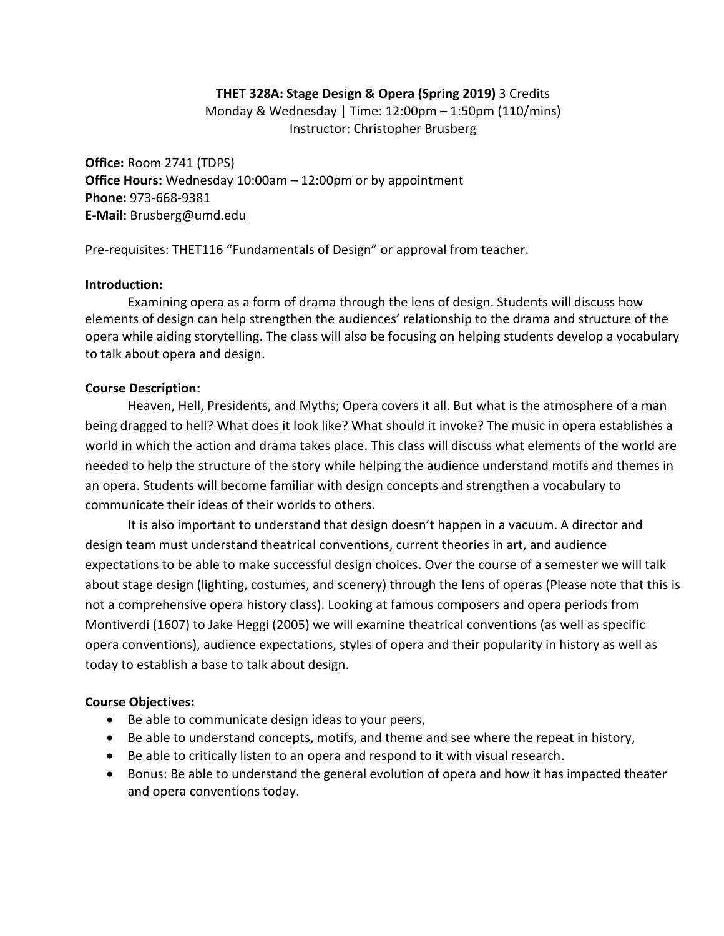### **THET 328A: Stage Design & Opera (Spring 2019)** 3 Credits

Monday & Wednesday | Time: 12:00pm – 1:50pm (110/mins) Instructor: Christopher Brusberg

**Office:** Room 2741 (TDPS) **Office Hours:** Wednesday 10:00am – 12:00pm or by appointment **Phone:** 973-668-9381 **E-Mail:** [Brusberg@umd.edu](mailto:Brusberg@umd.edu)

Pre-requisites: THET116 "Fundamentals of Design" or approval from teacher.

#### **Introduction:**

Examining opera as a form of drama through the lens of design. Students will discuss how elements of design can help strengthen the audiences' relationship to the drama and structure of the opera while aiding storytelling. The class will also be focusing on helping students develop a vocabulary to talk about opera and design.

### **Course Description:**

Heaven, Hell, Presidents, and Myths; Opera covers it all. But what is the atmosphere of a man being dragged to hell? What does it look like? What should it invoke? The music in opera establishes a world in which the action and drama takes place. This class will discuss what elements of the world are needed to help the structure of the story while helping the audience understand motifs and themes in an opera. Students will become familiar with design concepts and strengthen a vocabulary to communicate their ideas of their worlds to others.

It is also important to understand that design doesn't happen in a vacuum. A director and design team must understand theatrical conventions, current theories in art, and audience expectations to be able to make successful design choices. Over the course of a semester we will talk about stage design (lighting, costumes, and scenery) through the lens of operas (Please note that this is not a comprehensive opera history class). Looking at famous composers and opera periods from Montiverdi (1607) to Jake Heggi (2005) we will examine theatrical conventions (as well as specific opera conventions), audience expectations, styles of opera and their popularity in history as well as today to establish a base to talk about design.

### **Course Objectives:**

- Be able to communicate design ideas to your peers,
- Be able to understand concepts, motifs, and theme and see where the repeat in history,
- Be able to critically listen to an opera and respond to it with visual research.
- Bonus: Be able to understand the general evolution of opera and how it has impacted theater and opera conventions today.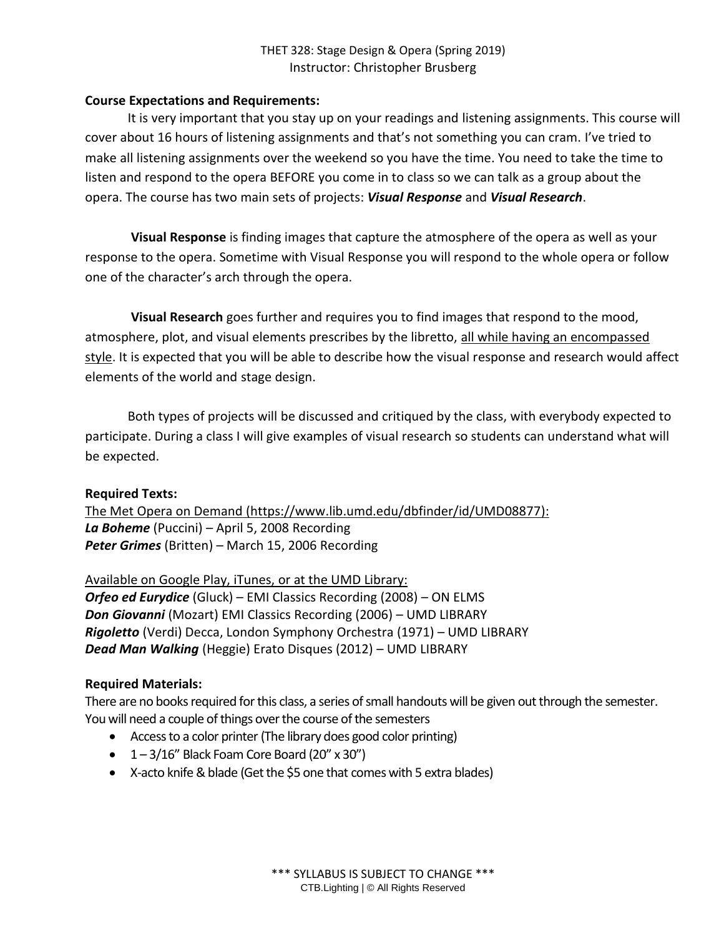### **Course Expectations and Requirements:**

It is very important that you stay up on your readings and listening assignments. This course will cover about 16 hours of listening assignments and that's not something you can cram. I've tried to make all listening assignments over the weekend so you have the time. You need to take the time to listen and respond to the opera BEFORE you come in to class so we can talk as a group about the opera. The course has two main sets of projects: *Visual Response* and *Visual Research*.

**Visual Response** is finding images that capture the atmosphere of the opera as well as your response to the opera. Sometime with Visual Response you will respond to the whole opera or follow one of the character's arch through the opera.

**Visual Research** goes further and requires you to find images that respond to the mood, atmosphere, plot, and visual elements prescribes by the libretto, all while having an encompassed style. It is expected that you will be able to describe how the visual response and research would affect elements of the world and stage design.

Both types of projects will be discussed and critiqued by the class, with everybody expected to participate. During a class I will give examples of visual research so students can understand what will be expected.

### **Required Texts:**

The Met Opera on Demand (https://www.lib.umd.edu/dbfinder/id/UMD08877): *La Boheme* (Puccini) – April 5, 2008 Recording *Peter Grimes* (Britten) – March 15, 2006 Recording

Available on Google Play, iTunes, or at the UMD Library: *Orfeo ed Eurydice* (Gluck) – EMI Classics Recording (2008) – ON ELMS *Don Giovanni* (Mozart) EMI Classics Recording (2006) – UMD LIBRARY *Rigoletto* (Verdi) Decca, London Symphony Orchestra (1971) – UMD LIBRARY *Dead Man Walking* (Heggie) Erato Disques (2012) – UMD LIBRARY

#### **Required Materials:**

There are no books required for this class, a series of small handouts will be given out through the semester. You will need a couple of things over the course of the semesters

- Access to a color printer (The library does good color printing)
- $\bullet$  1 3/16" Black Foam Core Board (20" x 30")
- X-acto knife & blade (Get the \$5 one that comes with 5 extra blades)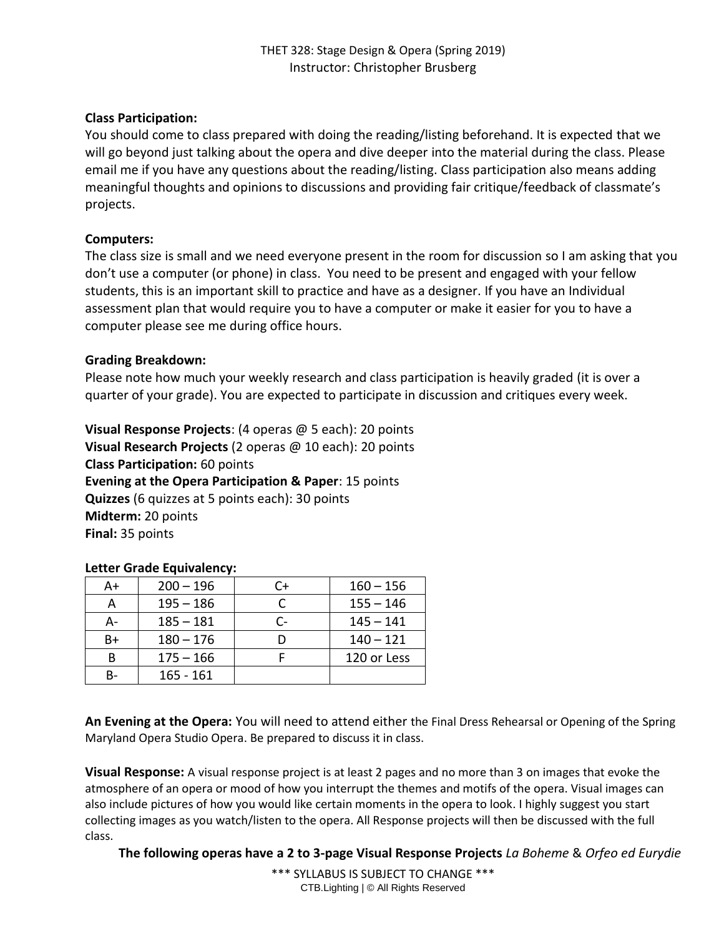# **Class Participation:**

You should come to class prepared with doing the reading/listing beforehand. It is expected that we will go beyond just talking about the opera and dive deeper into the material during the class. Please email me if you have any questions about the reading/listing. Class participation also means adding meaningful thoughts and opinions to discussions and providing fair critique/feedback of classmate's projects.

# **Computers:**

The class size is small and we need everyone present in the room for discussion so I am asking that you don't use a computer (or phone) in class. You need to be present and engaged with your fellow students, this is an important skill to practice and have as a designer. If you have an Individual assessment plan that would require you to have a computer or make it easier for you to have a computer please see me during office hours.

# **Grading Breakdown:**

Please note how much your weekly research and class participation is heavily graded (it is over a quarter of your grade). You are expected to participate in discussion and critiques every week.

**Visual Response Projects**: (4 operas @ 5 each): 20 points **Visual Research Projects** (2 operas @ 10 each): 20 points **Class Participation:** 60 points **Evening at the Opera Participation & Paper**: 15 points **Quizzes** (6 quizzes at 5 points each): 30 points **Midterm:** 20 points **Final:** 35 points

### **Letter Grade Equivalency:**

| A+ | $200 - 196$ | C+ | $160 - 156$ |
|----|-------------|----|-------------|
| А  | $195 - 186$ |    | $155 - 146$ |
| А- | $185 - 181$ | Ր- | $145 - 141$ |
| B+ | $180 - 176$ |    | $140 - 121$ |
| В  | $175 - 166$ |    | 120 or Less |
| в- | $165 - 161$ |    |             |

**An Evening at the Opera:** You will need to attend either the Final Dress Rehearsal or Opening of the Spring Maryland Opera Studio Opera. Be prepared to discuss it in class.

**Visual Response:** A visual response project is at least 2 pages and no more than 3 on images that evoke the atmosphere of an opera or mood of how you interrupt the themes and motifs of the opera. Visual images can also include pictures of how you would like certain moments in the opera to look. I highly suggest you start collecting images as you watch/listen to the opera. All Response projects will then be discussed with the full class.

**The following operas have a 2 to 3-page Visual Response Projects** *La Boheme* & *Orfeo ed Eurydie*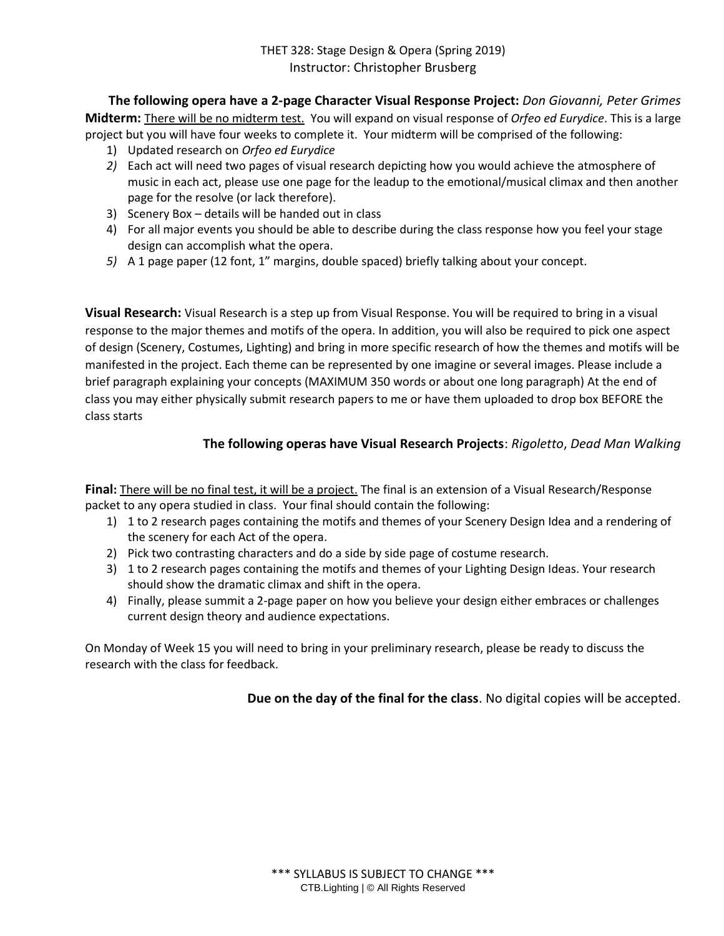**The following opera have a 2-page Character Visual Response Project:** *Don Giovanni, Peter Grimes* **Midterm:** There will be no midterm test.You will expand on visual response of *Orfeo ed Eurydice*. This is a large project but you will have four weeks to complete it. Your midterm will be comprised of the following:

- 1) Updated research on *Orfeo ed Eurydice*
- *2)* Each act will need two pages of visual research depicting how you would achieve the atmosphere of music in each act, please use one page for the leadup to the emotional/musical climax and then another page for the resolve (or lack therefore).
- 3) Scenery Box details will be handed out in class
- 4) For all major events you should be able to describe during the class response how you feel your stage design can accomplish what the opera.
- *5)* A 1 page paper (12 font, 1" margins, double spaced) briefly talking about your concept.

**Visual Research:** Visual Research is a step up from Visual Response. You will be required to bring in a visual response to the major themes and motifs of the opera. In addition, you will also be required to pick one aspect of design (Scenery, Costumes, Lighting) and bring in more specific research of how the themes and motifs will be manifested in the project. Each theme can be represented by one imagine or several images. Please include a brief paragraph explaining your concepts (MAXIMUM 350 words or about one long paragraph) At the end of class you may either physically submit research papers to me or have them uploaded to drop box BEFORE the class starts

### **The following operas have Visual Research Projects**: *Rigoletto*, *Dead Man Walking*

**Final:** There will be no final test, it will be a project. The final is an extension of a Visual Research/Response packet to any opera studied in class. Your final should contain the following:

- 1) 1 to 2 research pages containing the motifs and themes of your Scenery Design Idea and a rendering of the scenery for each Act of the opera.
- 2) Pick two contrasting characters and do a side by side page of costume research.
- 3) 1 to 2 research pages containing the motifs and themes of your Lighting Design Ideas. Your research should show the dramatic climax and shift in the opera.
- 4) Finally, please summit a 2-page paper on how you believe your design either embraces or challenges current design theory and audience expectations.

On Monday of Week 15 you will need to bring in your preliminary research, please be ready to discuss the research with the class for feedback.

**Due on the day of the final for the class**. No digital copies will be accepted.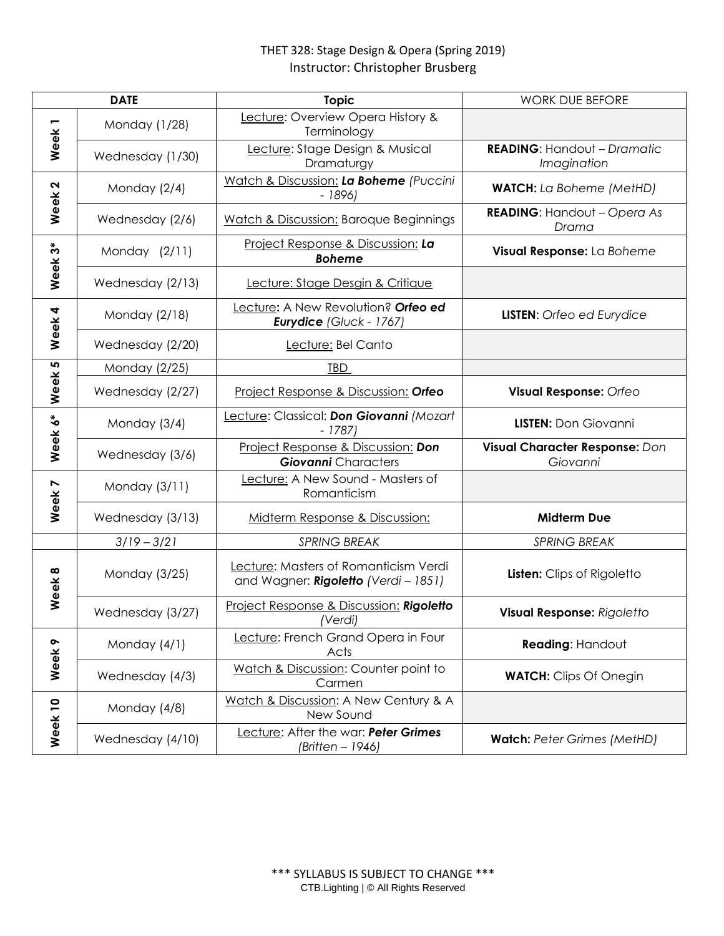| <b>DATE</b>       |                  | <b>Topic</b>                                                                | <b>WORK DUE BEFORE</b>                            |
|-------------------|------------------|-----------------------------------------------------------------------------|---------------------------------------------------|
| Week1             | Monday (1/28)    | Lecture: Overview Opera History &<br>Terminology                            |                                                   |
|                   | Wednesday (1/30) | Lecture: Stage Design & Musical<br>Dramaturgy                               | <b>READING: Handout - Dramatic</b><br>Imagination |
| Week <sub>2</sub> | Monday (2/4)     | Watch & Discussion: La Boheme (Puccini<br>$-1896$                           | <b>WATCH:</b> La Boheme (MetHD)                   |
|                   | Wednesday (2/6)  | <b>Watch &amp; Discussion: Baroque Beginnings</b>                           | <b>READING:</b> Handout - Opera As<br>Drama       |
| Week 3*           | Monday (2/11)    | Project Response & Discussion: La<br><b>Boheme</b>                          | Visual Response: La Boheme                        |
|                   | Wednesday (2/13) | Lecture: Stage Desgin & Critique                                            |                                                   |
| Week 4            | Monday (2/18)    | Lecture: A New Revolution? Orfeo ed<br>Eurydice (Gluck - 1767)              | <b>LISTEN:</b> Orfeo ed Eurydice                  |
|                   | Wednesday (2/20) | Lecture: Bel Canto                                                          |                                                   |
| Week 5            | Monday (2/25)    | <b>TBD</b>                                                                  |                                                   |
|                   | Wednesday (2/27) | Project Response & Discussion: Orfeo                                        | Visual Response: Orfeo                            |
| Week 6*           | Monday (3/4)     | Lecture: Classical: Don Giovanni (Mozart<br>$-1787$                         | <b>LISTEN:</b> Don Giovanni                       |
|                   | Wednesday (3/6)  | Project Response & Discussion: Don<br><b>Giovanni</b> Characters            | Visual Character Response: Don<br>Giovanni        |
| Week 7            | Monday (3/11)    | Lecture: A New Sound - Masters of<br>Romanticism                            |                                                   |
|                   | Wednesday (3/13) | Midterm Response & Discussion:                                              | <b>Midterm Due</b>                                |
|                   | $3/19 - 3/21$    | <b>SPRING BREAK</b>                                                         | <b>SPRING BREAK</b>                               |
| Week <sub>8</sub> | Monday (3/25)    | Lecture: Masters of Romanticism Verdi<br>and Wagner: Rigoletto (Verdi-1851) | Listen: Clips of Rigoletto                        |
|                   | Wednesday (3/27) | Project Response & Discussion: Rigoletto<br>(Verdi)                         | Visual Response: Rigoletto                        |
| Week 9            | Monday (4/1)     | Lecture: French Grand Opera in Four<br>Acts                                 | Reading: Handout                                  |
|                   | Wednesday (4/3)  | Watch & Discussion: Counter point to<br>Carmen                              | <b>WATCH:</b> Clips Of Onegin                     |
| Week 10           | Monday (4/8)     | Watch & Discussion: A New Century & A<br>New Sound                          |                                                   |
|                   | Wednesday (4/10) | Lecture: After the war: Peter Grimes<br>(Britten – 1946)                    | Watch: Peter Grimes (MetHD)                       |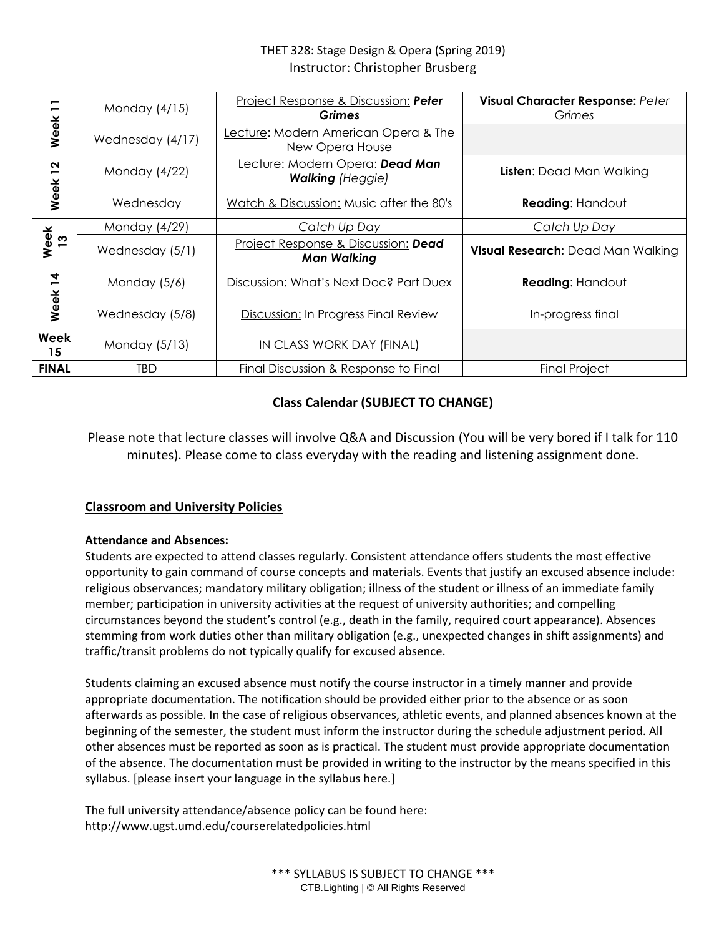| −<br>$\blacksquare$<br>Week | Monday (4/15)    | Project Response & Discussion: Peter<br>Grimes             | Visual Character Response: Peter<br>Grimes |
|-----------------------------|------------------|------------------------------------------------------------|--------------------------------------------|
|                             | Wednesday (4/17) | Lecture: Modern American Opera & The<br>New Opera House    |                                            |
| $\overline{2}$<br>Week      | Monday (4/22)    | Lecture: Modern Opera: Dead Man<br><b>Walking (Heggie)</b> | <b>Listen:</b> Dead Man Walking            |
|                             | Wednesday        | Watch & Discussion: Music after the 80's                   | <b>Reading: Handout</b>                    |
| Week<br><u>13</u>           | Monday (4/29)    | Catch Up Day                                               | Catch Up Day                               |
|                             | Wednesday (5/1)  | Project Response & Discussion: Dead<br><b>Man Walking</b>  | Visual Research: Dead Man Walking          |
| $\overline{4}$<br>Week      | Monday (5/6)     | Discussion: What's Next Doc? Part Duex                     | <b>Reading: Handout</b>                    |
|                             | Wednesday (5/8)  | Discussion: In Progress Final Review                       | In-progress final                          |
| Week<br>15                  | Monday (5/13)    | IN CLASS WORK DAY (FINAL)                                  |                                            |
| <b>FINAL</b>                | <b>TBD</b>       | Final Discussion & Response to Final                       | Final Project                              |

# **Class Calendar (SUBJECT TO CHANGE)**

Please note that lecture classes will involve Q&A and Discussion (You will be very bored if I talk for 110 minutes). Please come to class everyday with the reading and listening assignment done.

### **Classroom and University Policies**

### **Attendance and Absences:**

Students are expected to attend classes regularly. Consistent attendance offers students the most effective opportunity to gain command of course concepts and materials. Events that justify an excused absence include: religious observances; mandatory military obligation; illness of the student or illness of an immediate family member; participation in university activities at the request of university authorities; and compelling circumstances beyond the student's control (e.g., death in the family, required court appearance). Absences stemming from work duties other than military obligation (e.g., unexpected changes in shift assignments) and traffic/transit problems do not typically qualify for excused absence.

Students claiming an excused absence must notify the course instructor in a timely manner and provide appropriate documentation. The notification should be provided either prior to the absence or as soon afterwards as possible. In the case of religious observances, athletic events, and planned absences known at the beginning of the semester, the student must inform the instructor during the schedule adjustment period. All other absences must be reported as soon as is practical. The student must provide appropriate documentation of the absence. The documentation must be provided in writing to the instructor by the means specified in this syllabus. [please insert your language in the syllabus here.]

The full university attendance/absence policy can be found here: <http://www.ugst.umd.edu/courserelatedpolicies.html>